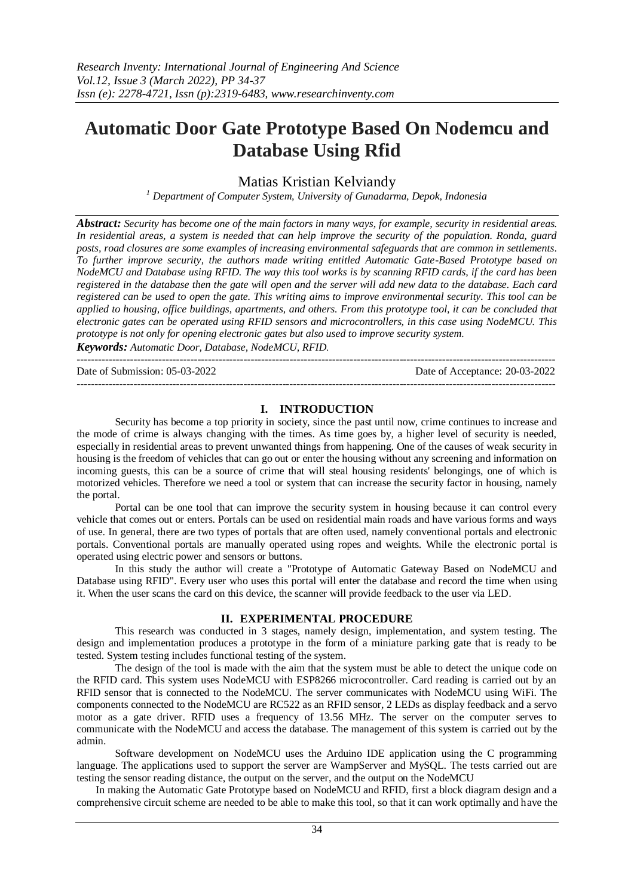# **Automatic Door Gate Prototype Based On Nodemcu and Database Using Rfid**

# Matias Kristian Kelviandy

*<sup>1</sup> Department of Computer System, University of Gunadarma, Depok, Indonesia*

*Abstract: Security has become one of the main factors in many ways, for example, security in residential areas. In residential areas, a system is needed that can help improve the security of the population. Ronda, guard posts, road closures are some examples of increasing environmental safeguards that are common in settlements. To further improve security, the authors made writing entitled Automatic Gate-Based Prototype based on NodeMCU and Database using RFID. The way this tool works is by scanning RFID cards, if the card has been registered in the database then the gate will open and the server will add new data to the database. Each card registered can be used to open the gate. This writing aims to improve environmental security. This tool can be applied to housing, office buildings, apartments, and others. From this prototype tool, it can be concluded that electronic gates can be operated using RFID sensors and microcontrollers, in this case using NodeMCU. This prototype is not only for opening electronic gates but also used to improve security system.*

*Keywords: Automatic Door, Database, NodeMCU, RFID.*

--------------------------------------------------------------------------------------------------------------------------------------- Date of Submission: 05-03-2022 Date of Acceptance: 20-03-2022 ---------------------------------------------------------------------------------------------------------------------------------------

# **I. INTRODUCTION**

Security has become a top priority in society, since the past until now, crime continues to increase and the mode of crime is always changing with the times. As time goes by, a higher level of security is needed, especially in residential areas to prevent unwanted things from happening. One of the causes of weak security in housing is the freedom of vehicles that can go out or enter the housing without any screening and information on incoming guests, this can be a source of crime that will steal housing residents' belongings, one of which is motorized vehicles. Therefore we need a tool or system that can increase the security factor in housing, namely the portal.

Portal can be one tool that can improve the security system in housing because it can control every vehicle that comes out or enters. Portals can be used on residential main roads and have various forms and ways of use. In general, there are two types of portals that are often used, namely conventional portals and electronic portals. Conventional portals are manually operated using ropes and weights. While the electronic portal is operated using electric power and sensors or buttons.

In this study the author will create a "Prototype of Automatic Gateway Based on NodeMCU and Database using RFID". Every user who uses this portal will enter the database and record the time when using it. When the user scans the card on this device, the scanner will provide feedback to the user via LED.

# **II. EXPERIMENTAL PROCEDURE**

This research was conducted in 3 stages, namely design, implementation, and system testing. The design and implementation produces a prototype in the form of a miniature parking gate that is ready to be tested. System testing includes functional testing of the system.

The design of the tool is made with the aim that the system must be able to detect the unique code on the RFID card. This system uses NodeMCU with ESP8266 microcontroller. Card reading is carried out by an RFID sensor that is connected to the NodeMCU. The server communicates with NodeMCU using WiFi. The components connected to the NodeMCU are RC522 as an RFID sensor, 2 LEDs as display feedback and a servo motor as a gate driver. RFID uses a frequency of 13.56 MHz. The server on the computer serves to communicate with the NodeMCU and access the database. The management of this system is carried out by the admin.

Software development on NodeMCU uses the Arduino IDE application using the C programming language. The applications used to support the server are WampServer and MySQL. The tests carried out are testing the sensor reading distance, the output on the server, and the output on the NodeMCU

In making the Automatic Gate Prototype based on NodeMCU and RFID, first a block diagram design and a comprehensive circuit scheme are needed to be able to make this tool, so that it can work optimally and have the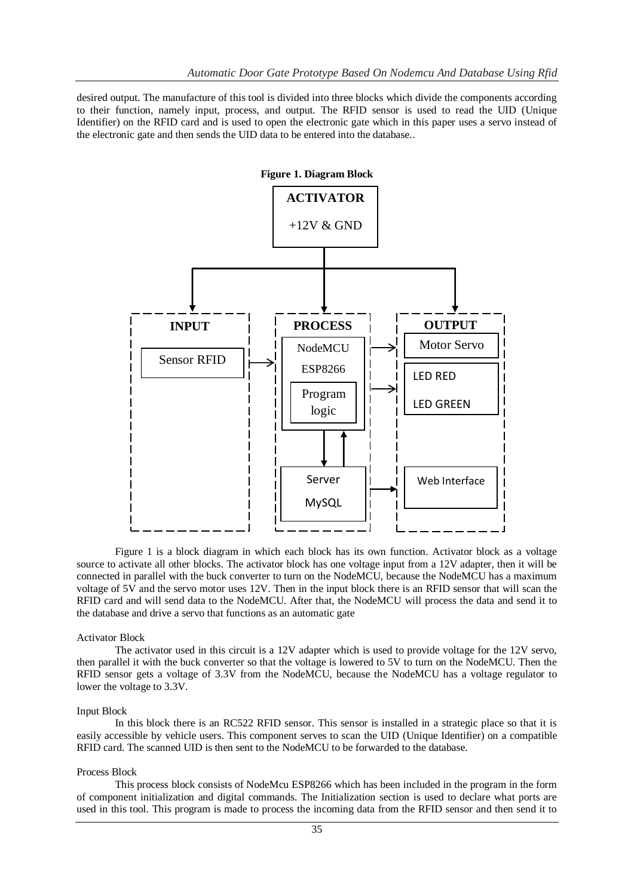desired output. The manufacture of this tool is divided into three blocks which divide the components according to their function, namely input, process, and output. The RFID sensor is used to read the UID (Unique Identifier) on the RFID card and is used to open the electronic gate which in this paper uses a servo instead of the electronic gate and then sends the UID data to be entered into the database..



Figure 1 is a block diagram in which each block has its own function. Activator block as a voltage source to activate all other blocks. The activator block has one voltage input from a 12V adapter, then it will be connected in parallel with the buck converter to turn on the NodeMCU, because the NodeMCU has a maximum voltage of 5V and the servo motor uses 12V. Then in the input block there is an RFID sensor that will scan the RFID card and will send data to the NodeMCU. After that, the NodeMCU will process the data and send it to the database and drive a servo that functions as an automatic gate

## Activator Block

The activator used in this circuit is a 12V adapter which is used to provide voltage for the 12V servo, then parallel it with the buck converter so that the voltage is lowered to 5V to turn on the NodeMCU. Then the RFID sensor gets a voltage of 3.3V from the NodeMCU, because the NodeMCU has a voltage regulator to lower the voltage to 3.3V.

#### Input Block

In this block there is an RC522 RFID sensor. This sensor is installed in a strategic place so that it is easily accessible by vehicle users. This component serves to scan the UID (Unique Identifier) on a compatible RFID card. The scanned UID is then sent to the NodeMCU to be forwarded to the database.

#### Process Block

This process block consists of NodeMcu ESP8266 which has been included in the program in the form of component initialization and digital commands. The Initialization section is used to declare what ports are used in this tool. This program is made to process the incoming data from the RFID sensor and then send it to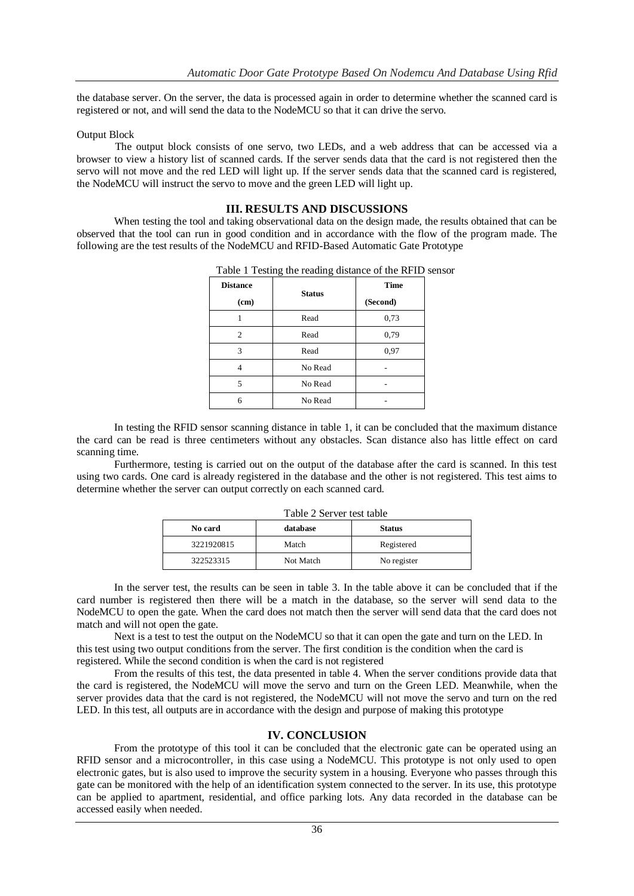the database server. On the server, the data is processed again in order to determine whether the scanned card is registered or not, and will send the data to the NodeMCU so that it can drive the servo.

## Output Block

The output block consists of one servo, two LEDs, and a web address that can be accessed via a browser to view a history list of scanned cards. If the server sends data that the card is not registered then the servo will not move and the red LED will light up. If the server sends data that the scanned card is registered, the NodeMCU will instruct the servo to move and the green LED will light up.

## **III. RESULTS AND DISCUSSIONS**

When testing the tool and taking observational data on the design made, the results obtained that can be observed that the tool can run in good condition and in accordance with the flow of the program made. The following are the test results of the NodeMCU and RFID-Based Automatic Gate Prototype

| <b>Distance</b> | <b>Status</b> | <b>Time</b> |
|-----------------|---------------|-------------|
| (cm)            |               | (Second)    |
|                 | Read          | 0,73        |
| $\mathfrak{D}$  | Read          | 0,79        |
| 3               | Read          | 0,97        |
|                 | No Read       |             |
| 5               | No Read       |             |
| 6               | No Read       |             |

Table 1 Testing the reading distance of the RFID sensor

In testing the RFID sensor scanning distance in table 1, it can be concluded that the maximum distance the card can be read is three centimeters without any obstacles. Scan distance also has little effect on card scanning time.

Furthermore, testing is carried out on the output of the database after the card is scanned. In this test using two cards. One card is already registered in the database and the other is not registered. This test aims to determine whether the server can output correctly on each scanned card.

| No card    | Table 2 Server test table<br>database | <b>Status</b> |
|------------|---------------------------------------|---------------|
| 3221920815 | Match                                 | Registered    |
| 322523315  | Not Match                             | No register   |

Table 2 Server test table

In the server test, the results can be seen in table 3. In the table above it can be concluded that if the card number is registered then there will be a match in the database, so the server will send data to the NodeMCU to open the gate. When the card does not match then the server will send data that the card does not match and will not open the gate.

Next is a test to test the output on the NodeMCU so that it can open the gate and turn on the LED. In this test using two output conditions from the server. The first condition is the condition when the card is registered. While the second condition is when the card is not registered

From the results of this test, the data presented in table 4. When the server conditions provide data that the card is registered, the NodeMCU will move the servo and turn on the Green LED. Meanwhile, when the server provides data that the card is not registered, the NodeMCU will not move the servo and turn on the red LED. In this test, all outputs are in accordance with the design and purpose of making this prototype

# **IV. CONCLUSION**

From the prototype of this tool it can be concluded that the electronic gate can be operated using an RFID sensor and a microcontroller, in this case using a NodeMCU. This prototype is not only used to open electronic gates, but is also used to improve the security system in a housing. Everyone who passes through this gate can be monitored with the help of an identification system connected to the server. In its use, this prototype can be applied to apartment, residential, and office parking lots. Any data recorded in the database can be accessed easily when needed.